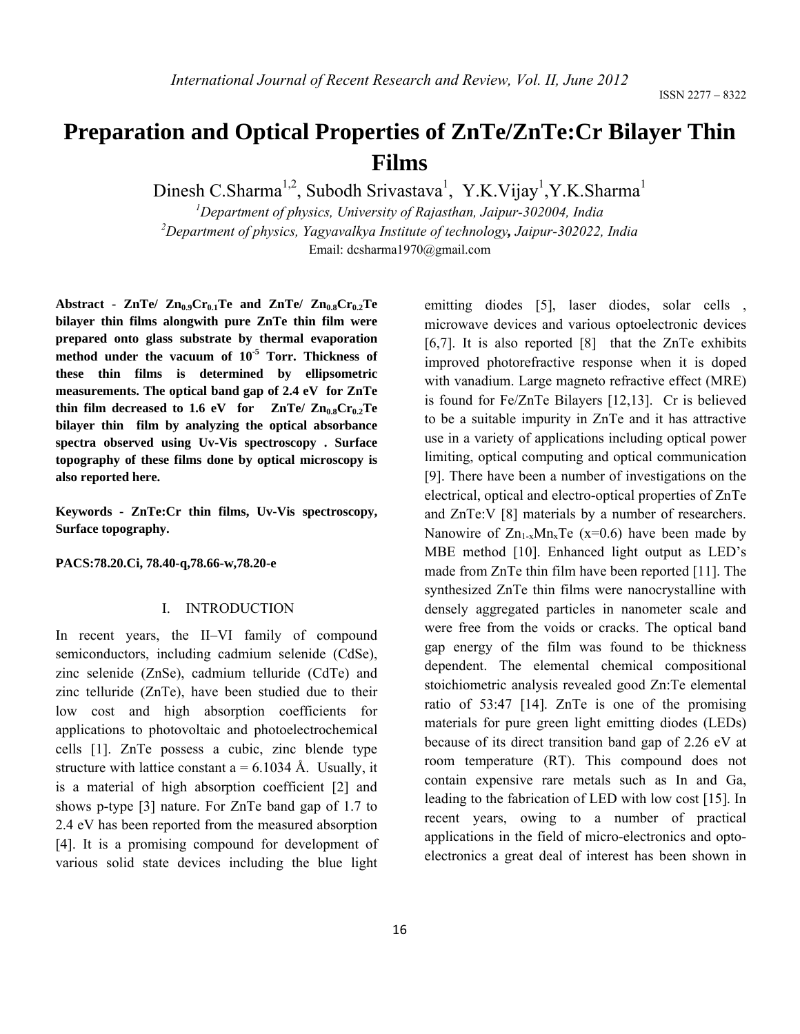# **Preparation and Optical Properties of ZnTe/ZnTe:Cr Bilayer Thin Films**

Dinesh C.Sharma<sup>1,2</sup>, Subodh Srivastava<sup>1</sup>, Y.K.Vijay<sup>1</sup>,Y.K.Sharma<sup>1</sup>

*1 Department of physics, University of Rajasthan, Jaipur-302004, India 2 Department of physics, Yagyavalkya Institute of technology, Jaipur-302022, India* Email: dcsharma1970@gmail.com

Abstract -  $ZnTe$ /  $Zn_{0.9}Cr_{0.1}Te$  and  $ZnTe$ /  $Zn_{0.8}Cr_{0.2}Te$ **bilayer thin films alongwith pure ZnTe thin film were prepared onto glass substrate by thermal evaporation method under the vacuum of 10-5 Torr. Thickness of these thin films is determined by ellipsometric measurements. The optical band gap of 2.4 eV for ZnTe**  thin film decreased to  $1.6$  eV for  $ZnTe/ Zn_{0.8}Cr_{0.2}Te$ **bilayer thin film by analyzing the optical absorbance spectra observed using Uv-Vis spectroscopy . Surface topography of these films done by optical microscopy is also reported here.** 

**Keywords - ZnTe:Cr thin films, Uv-Vis spectroscopy, Surface topography.** 

**PACS:78.20.Ci, 78.40-q,78.66-w,78.20-e** 

# I. INTRODUCTION

In recent years, the II–VI family of compound semiconductors, including cadmium selenide (CdSe), zinc selenide (ZnSe), cadmium telluride (CdTe) and zinc telluride (ZnTe), have been studied due to their low cost and high absorption coefficients for applications to photovoltaic and photoelectrochemical cells [1]. ZnTe possess a cubic, zinc blende type structure with lattice constant  $a = 6.1034$  Å. Usually, it is a material of high absorption coefficient [2] and shows p-type [3] nature. For ZnTe band gap of 1.7 to 2.4 eV has been reported from the measured absorption [4]. It is a promising compound for development of various solid state devices including the blue light

emitting diodes [5], laser diodes, solar cells, microwave devices and various optoelectronic devices [6,7]. It is also reported [8] that the ZnTe exhibits improved photorefractive response when it is doped with vanadium. Large magneto refractive effect (MRE) is found for Fe/ZnTe Bilayers [12,13]. Cr is believed to be a suitable impurity in ZnTe and it has attractive use in a variety of applications including optical power limiting, optical computing and optical communication [9]. There have been a number of investigations on the electrical, optical and electro-optical properties of ZnTe and ZnTe:V [8] materials by a number of researchers. Nanowire of  $Zn_{1-x}Mn_{x}Te$  (x=0.6) have been made by MBE method [10]. Enhanced light output as LED's made from ZnTe thin film have been reported [11]. The synthesized ZnTe thin films were nanocrystalline with densely aggregated particles in nanometer scale and were free from the voids or cracks. The optical band gap energy of the film was found to be thickness dependent. The elemental chemical compositional stoichiometric analysis revealed good Zn:Te elemental ratio of 53:47 [14]. ZnTe is one of the promising materials for pure green light emitting diodes (LEDs) because of its direct transition band gap of 2.26 eV at room temperature (RT). This compound does not contain expensive rare metals such as In and Ga, leading to the fabrication of LED with low cost [15]. In recent years, owing to a number of practical applications in the field of micro-electronics and optoelectronics a great deal of interest has been shown in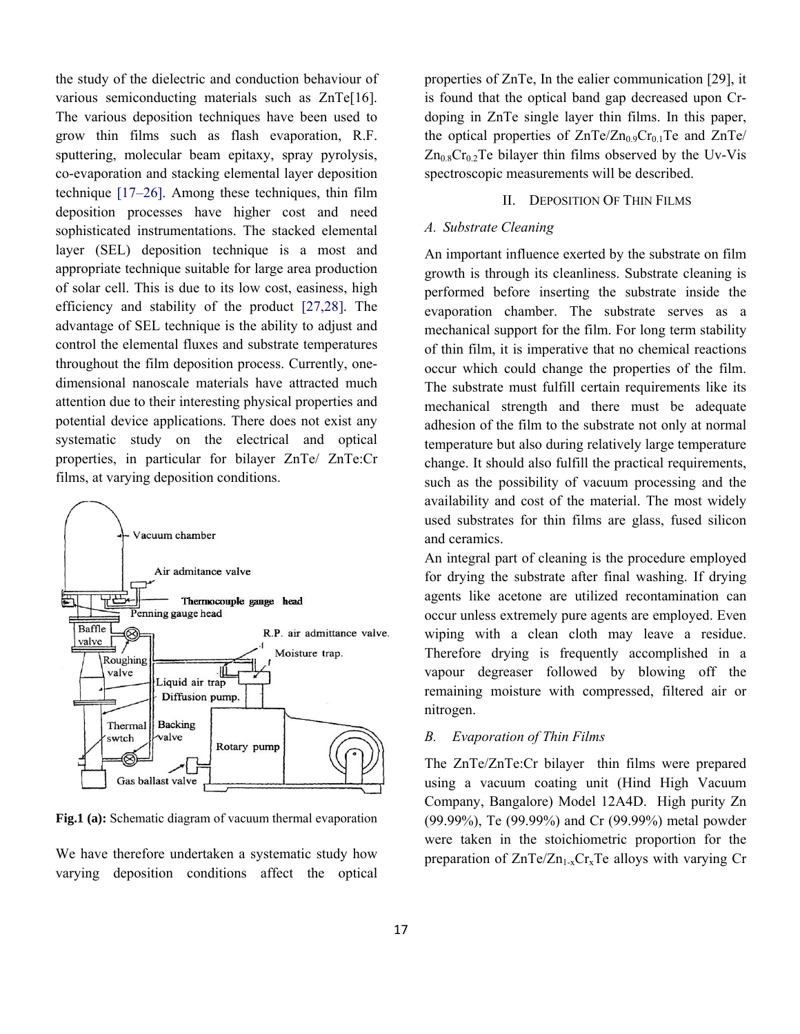the study of the dielectric and conduction behaviour of various semiconducting materials such as ZnTe[16]. The various deposition techniques have been used to grow thin films such as flash evaporation, R.F. sputtering, molecular beam epitaxy, spray pyrolysis, co-evaporation and stacking elemental layer deposition technique [17–26]. Among these techniques, thin film deposition processes have higher cost and need sophisticated instrumentations. The stacked elemental layer (SEL) deposition technique is a most and appropriate technique suitable for large area production of solar cell. This is due to its low cost, easiness, high efficiency and stability of the product [27,28]. The advantage of SEL technique is the ability to adjust and control the elemental fluxes and substrate temperatures throughout the film deposition process. Currently, onedimensional nanoscale materials have attracted much attention due to their interesting physical properties and potential device applications. There does not exist any systematic study on the electrical and optical properties, in particular for bilayer ZnTe/ ZnTe:Cr films, at varying deposition conditions.



Fig.1 (a): Schematic diagram of vacuum thermal evaporation

We have therefore undertaken a systematic study how varying deposition conditions affect the optical properties of ZnTe, In the ealier communication [29], it is found that the optical band gap decreased upon Crdoping in ZnTe single layer thin films. In this paper, the optical properties of  $ZnTe/Zn_{0.9}Cr_{0.1}Te$  and  $ZnTe/$  $Zn_{0.8}Cr_{0.2}Te$  bilayer thin films observed by the Uv-Vis spectroscopic measurements will be described.

# II. DEPOSITION OF THIN FILMS

# *A. Substrate Cleaning*

An important influence exerted by the substrate on film growth is through its cleanliness. Substrate cleaning is performed before inserting the substrate inside the evaporation chamber. The substrate serves as a mechanical support for the film. For long term stability of thin film, it is imperative that no chemical reactions occur which could change the properties of the film. The substrate must fulfill certain requirements like its mechanical strength and there must be adequate adhesion of the film to the substrate not only at normal temperature but also during relatively large temperature change. It should also fulfill the practical requirements, such as the possibility of vacuum processing and the availability and cost of the material. The most widely used substrates for thin films are glass, fused silicon and ceramics.

An integral part of cleaning is the procedure employed for drying the substrate after final washing. If drying agents like acetone are utilized recontamination can occur unless extremely pure agents are employed. Even wiping with a clean cloth may leave a residue. Therefore drying is frequently accomplished in a vapour degreaser followed by blowing off the remaining moisture with compressed, filtered air or nitrogen.

# *B. Evaporation of Thin Films*

The ZnTe/ZnTe:Cr bilayer thin films were prepared using a vacuum coating unit (Hind High Vacuum Company, Bangalore) Model 12A4D. High purity Zn (99.99%), Te (99.99%) and Cr (99.99%) metal powder were taken in the stoichiometric proportion for the preparation of  $ZnTe/Zn_{1-x}Cr_{x}Te$  alloys with varying Cr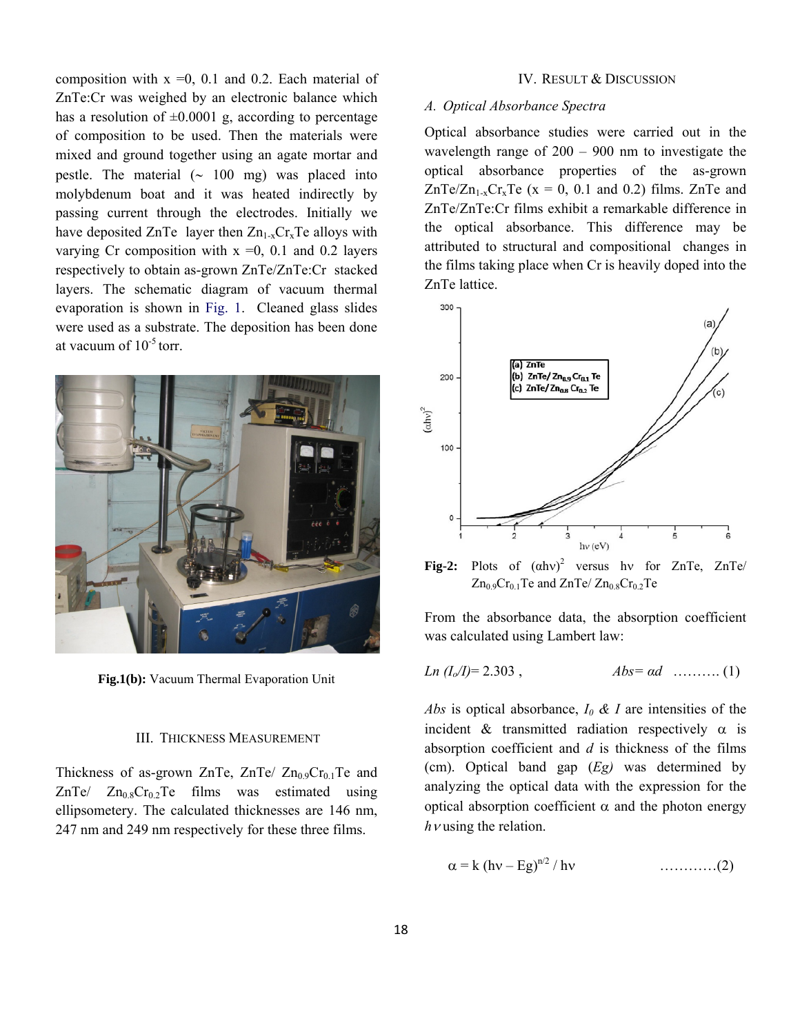composition with  $x = 0$ , 0.1 and 0.2. Each material of ZnTe:Cr was weighed by an electronic balance which has a resolution of  $\pm 0.0001$  g, according to percentage of composition to be used. Then the materials were mixed and ground together using an agate mortar and pestle. The material (∼ 100 mg) was placed into molybdenum boat and it was heated indirectly by passing current through the electrodes. Initially we have deposited ZnTe layer then  $Zn_{1-x}Cr_{x}Te$  alloys with varying Cr composition with  $x = 0$ , 0.1 and 0.2 layers respectively to obtain as-grown ZnTe/ZnTe:Cr stacked layers. The schematic diagram of vacuum thermal evaporation is shown in Fig. 1. Cleaned glass slides were used as a substrate. The deposition has been done at vacuum of  $10^{-5}$  torr.



**Fig.1(b):** Vacuum Thermal Evaporation Unit

# III. THICKNESS MEASUREMENT

Thickness of as-grown ZnTe, ZnTe/  $Zn_{0.9}Cr_{0.1}Te$  and  $ZnTe$ /  $Zn_0sCr_0rTe$  films was estimated using ellipsometery. The calculated thicknesses are 146 nm, 247 nm and 249 nm respectively for these three films.

#### IV. RESULT & DISCUSSION

## *A. Optical Absorbance Spectra*

Optical absorbance studies were carried out in the wavelength range of 200 – 900 nm to investigate the optical absorbance properties of the as-grown  $ZnTe/Zn_{1-x}Cr_xTe$  (x = 0, 0.1 and 0.2) films. ZnTe and ZnTe/ZnTe:Cr films exhibit a remarkable difference in the optical absorbance. This difference may be attributed to structural and compositional changes in the films taking place when Cr is heavily doped into the ZnTe lattice.



Fig-2: Plots of  $(ahv)^2$  versus hv for ZnTe, ZnTe/  $Zn_0$ <sub>9</sub>Cr<sub>0.1</sub>Te and  $ZnTe$   $Zn_0$ <sub>8</sub>Cr<sub>0.2</sub>Te

From the absorbance data, the absorption coefficient was calculated using Lambert law:

$$
Ln (I_0/I)= 2.303 , \t\t Abs = ad ......... (1)
$$

*Abs* is optical absorbance, *I0 & I* are intensities of the incident & transmitted radiation respectively  $\alpha$  is absorption coefficient and *d* is thickness of the films (cm). Optical band gap (*Eg)* was determined by analyzing the optical data with the expression for the optical absorption coefficient α and the photon energy *h*ν using the relation.

$$
\alpha = k (hv - Eg)^{n/2} / hv
$$
 .........(2)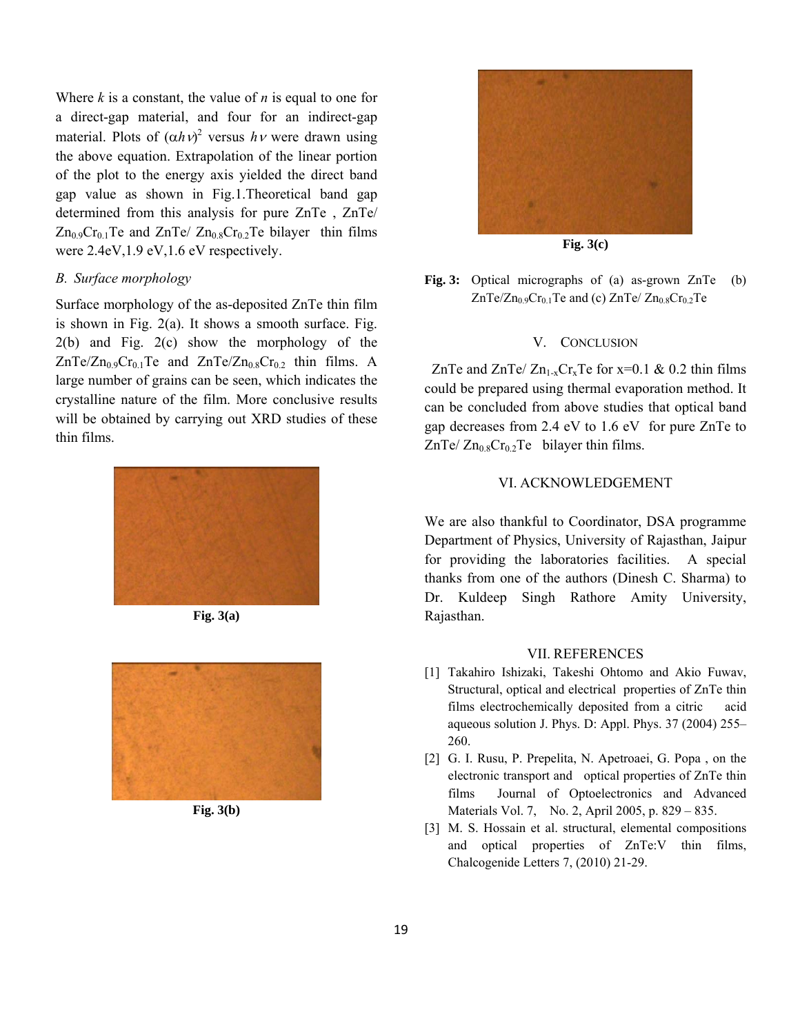Where *k* is a constant, the value of *n* is equal to one for a direct-gap material, and four for an indirect-gap material. Plots of  $(\alpha h v)^2$  versus  $h v$  were drawn using the above equation. Extrapolation of the linear portion of the plot to the energy axis yielded the direct band gap value as shown in Fig.1.Theoretical band gap determined from this analysis for pure ZnTe , ZnTe/  $Zn_{0.9}Cr_{0.1}Te$  and  $ZnTe$   $Zn_{0.8}Cr_{0.2}Te$  bilayer thin films were 2.4eV,1.9 eV,1.6 eV respectively.

# *B. Surface morphology*

Surface morphology of the as-deposited ZnTe thin film is shown in Fig. 2(a). It shows a smooth surface. Fig. 2(b) and Fig. 2(c) show the morphology of the  $ZnTe/Zn_{0.9}Cr_{0.1}Te$  and  $ZnTe/Zn_{0.8}Cr_{0.2}$  thin films. A large number of grains can be seen, which indicates the crystalline nature of the film. More conclusive results will be obtained by carrying out XRD studies of these thin films.



**Fig. 3(a)** 



**Fig. 3(b)** 



**Fig. 3(c)** 

**Fig. 3:** Optical micrographs of (a) as-grown ZnTe (b) ZnTe/Zn<sub>0.9</sub>Cr<sub>0.1</sub>Te and (c) ZnTe/ Zn<sub>0.8</sub>Cr<sub>0.2</sub>Te

#### V. CONCLUSION

ZnTe and ZnTe/  $Zn_{1-x}Cr_xTe$  for x=0.1 & 0.2 thin films could be prepared using thermal evaporation method. It can be concluded from above studies that optical band gap decreases from 2.4 eV to 1.6 eV for pure ZnTe to  $ZnTe/Zn_{0.8}Cr_{0.2}Te$  bilayer thin films.

# VI. ACKNOWLEDGEMENT

We are also thankful to Coordinator, DSA programme Department of Physics, University of Rajasthan, Jaipur for providing the laboratories facilities. A special thanks from one of the authors (Dinesh C. Sharma) to Dr. Kuldeep Singh Rathore Amity University, Rajasthan.

# VII. REFERENCES

- [1] Takahiro Ishizaki, Takeshi Ohtomo and Akio Fuwav, Structural, optical and electrical properties of ZnTe thin films electrochemically deposited from a citric acid aqueous solution J. Phys. D: Appl. Phys. 37 (2004) 255– 260.
- [2] G. I. Rusu, P. Prepelita, N. Apetroaei, G. Popa , on the electronic transport and optical properties of ZnTe thin films Journal of Optoelectronics and Advanced Materials Vol. 7, No. 2, April 2005, p. 829 – 835.
- [3] M. S. Hossain et al. structural, elemental compositions and optical properties of ZnTe:V thin films, Chalcogenide Letters 7, (2010) 21-29.